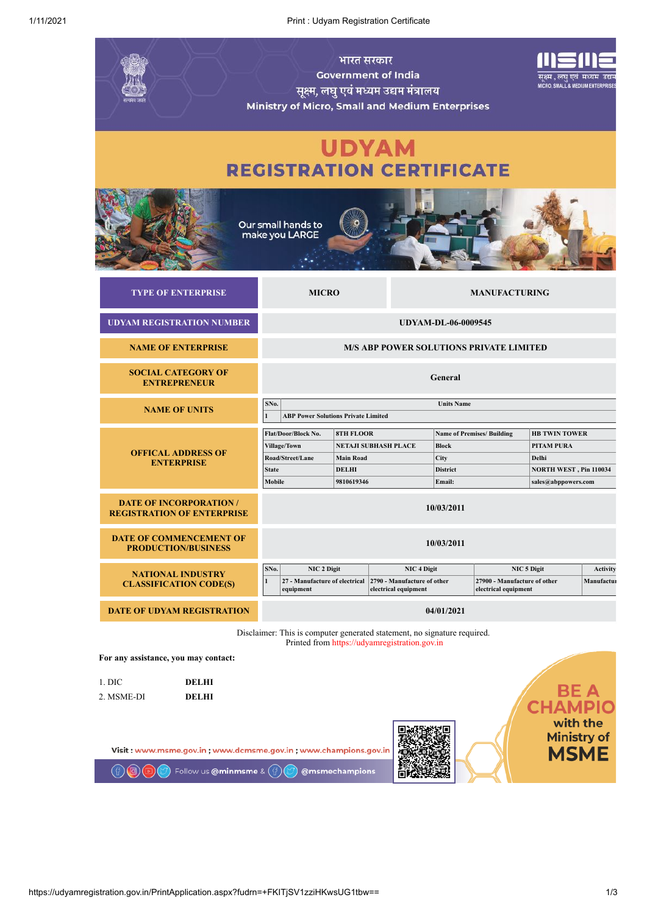| भारत सरकार<br><b>Government of India</b><br>सूक्ष्म, लघु एवं मध्यम उद्यम मंत्रालय<br>Ministry of Micro, Small and Medium Enterprises                              |                                                                                                                                                                                                                                                                                         |  |                                                                               |                            |                                                                                              |               | सक्ष्म , लघ एवं मध्यम उद्यम<br><b>MICRO, SMALL &amp; MEDIUM ENTERPRISES</b> |  |
|-------------------------------------------------------------------------------------------------------------------------------------------------------------------|-----------------------------------------------------------------------------------------------------------------------------------------------------------------------------------------------------------------------------------------------------------------------------------------|--|-------------------------------------------------------------------------------|----------------------------|----------------------------------------------------------------------------------------------|---------------|-----------------------------------------------------------------------------|--|
| <b>UDYAM</b><br><b>REGISTRATION CERTIFICATE</b>                                                                                                                   |                                                                                                                                                                                                                                                                                         |  |                                                                               |                            |                                                                                              |               |                                                                             |  |
|                                                                                                                                                                   | Our small hands to<br>make you LARGE                                                                                                                                                                                                                                                    |  |                                                                               |                            |                                                                                              |               |                                                                             |  |
| <b>TYPE OF ENTERPRISE</b>                                                                                                                                         | <b>MICRO</b>                                                                                                                                                                                                                                                                            |  |                                                                               |                            | <b>MANUFACTURING</b>                                                                         |               |                                                                             |  |
| <b>UDYAM REGISTRATION NUMBER</b>                                                                                                                                  |                                                                                                                                                                                                                                                                                         |  |                                                                               | <b>UDYAM-DL-06-0009545</b> |                                                                                              |               |                                                                             |  |
| <b>NAME OF ENTERPRISE</b>                                                                                                                                         |                                                                                                                                                                                                                                                                                         |  | <b>M/S ABP POWER SOLUTIONS PRIVATE LIMITED</b>                                |                            |                                                                                              |               |                                                                             |  |
| <b>SOCIAL CATEGORY OF</b><br>General<br><b>ENTREPRENEUR</b>                                                                                                       |                                                                                                                                                                                                                                                                                         |  |                                                                               |                            |                                                                                              |               |                                                                             |  |
| <b>NAME OF UNITS</b>                                                                                                                                              | SNo.<br>$\mathbf{1}$<br><b>ABP Power Solutions Private Limited</b>                                                                                                                                                                                                                      |  |                                                                               | <b>Units Name</b>          |                                                                                              |               |                                                                             |  |
| <b>OFFICAL ADDRESS OF</b><br><b>ENTERPRISE</b>                                                                                                                    | Flat/Door/Block No.<br><b>8TH FLOOR</b><br><b>Name of Premises/ Building</b><br><b>NETAJI SUBHASH PLACE</b><br><b>Block</b><br><b>Village/Town</b><br>Road/Street/Lane<br><b>Main Road</b><br>City<br><b>State</b><br><b>DELHI</b><br><b>District</b><br>Mobile<br>9810619346<br>Email: |  |                                                                               |                            | <b>HB TWIN TOWER</b><br>PITAM PURA<br>Delhi<br>NORTH WEST, Pin 110034<br>sales@abppowers.com |               |                                                                             |  |
| <b>DATE OF INCORPORATION /</b><br><b>REGISTRATION OF ENTERPRISE</b>                                                                                               |                                                                                                                                                                                                                                                                                         |  |                                                                               | 10/03/2011                 |                                                                                              |               |                                                                             |  |
| <b>DATE OF COMMENCEMENT OF</b><br><b>PRODUCTION/BUSINESS</b>                                                                                                      |                                                                                                                                                                                                                                                                                         |  |                                                                               | 10/03/2011                 |                                                                                              |               |                                                                             |  |
| <b>NATIONAL INDUSTRY</b><br><b>CLASSIFICATION CODE(S)</b>                                                                                                         | SNo.<br>NIC 2 Digit<br>$\mathbf{1}$<br>27 - Manufacture of electrical<br>equipment                                                                                                                                                                                                      |  | NIC <sub>4</sub> Digit<br>2790 - Manufacture of other<br>electrical equipment |                            | NIC 5 Digit<br>27900 - Manufacture of other<br>electrical equipment                          |               | <b>Activity</b><br>Manufactur                                               |  |
| <b>DATE OF UDYAM REGISTRATION</b>                                                                                                                                 |                                                                                                                                                                                                                                                                                         |  |                                                                               | 04/01/2021                 |                                                                                              |               |                                                                             |  |
| Disclaimer: This is computer generated statement, no signature required.<br>Printed from https://udyamregistration.gov.in<br>For any assistance, you may contact: |                                                                                                                                                                                                                                                                                         |  |                                                                               |                            |                                                                                              |               |                                                                             |  |
| 1. DIC<br><b>DELHI</b><br><b>DELHI</b><br>2. MSME-DI                                                                                                              |                                                                                                                                                                                                                                                                                         |  |                                                                               |                            |                                                                                              | <b>CHAMPI</b> | BE A<br>with the                                                            |  |
| <b>Ministry of</b><br><b>MSME</b><br>Visit: www.msme.gov.in; www.dcmsme.gov.in; www.champions.gov.in<br>Follow us @minmsme &<br>@msmechampions                    |                                                                                                                                                                                                                                                                                         |  |                                                                               |                            |                                                                                              |               |                                                                             |  |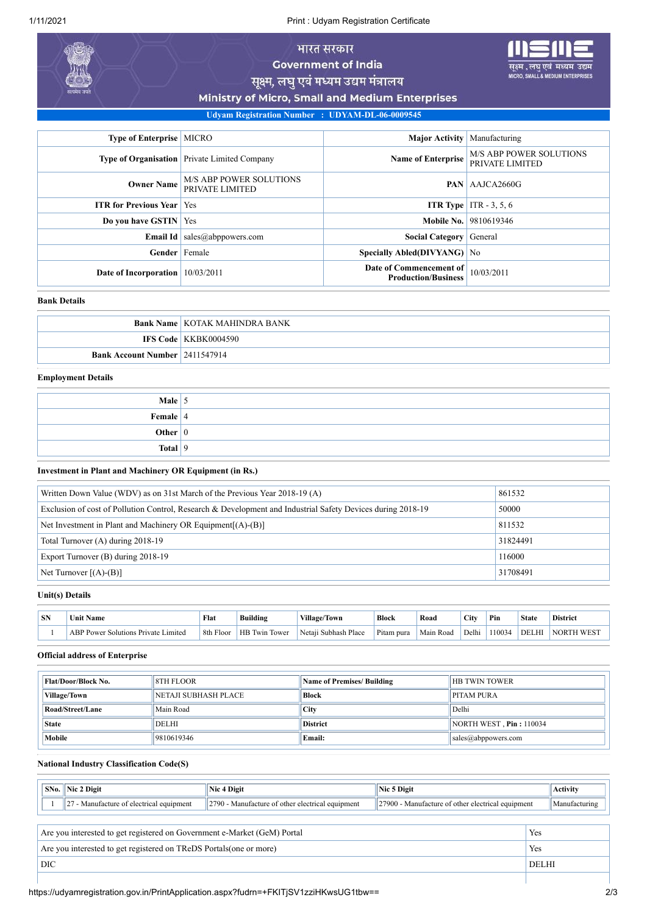1/11/2021 Print : Udyam Registration Certificate

# भारत सरकार **Government of India**

यम उद्यम EDIUM ENTER

सूक्ष्म, लघु एवं मध्यम उद्यम मंत्रालय

Ministry of Micro, Small and Medium Enterprises

**Udyam Registration Number : UDYAM-DL-06-0009545**

| <b>Type of Enterprise   MICRO</b>  |                                                     | <b>Major Activity</b> Manufacturing                   |                                                   |
|------------------------------------|-----------------------------------------------------|-------------------------------------------------------|---------------------------------------------------|
|                                    | <b>Type of Organisation</b> Private Limited Company | <b>Name of Enterprise</b>                             | <b>M/S ABP POWER SOLUTIONS</b><br>PRIVATE LIMITED |
| <b>Owner Name</b>                  | <b>M/S ABP POWER SOLUTIONS</b><br>PRIVATE LIMITED   |                                                       | <b>PAN</b> AAJCA2660G                             |
| <b>ITR for Previous Year   Yes</b> |                                                     |                                                       | <b>ITR Type</b> ITR $-3, 5, 6$                    |
| Do you have GSTIN   Yes            |                                                     |                                                       | <b>Mobile No.</b> 9810619346                      |
|                                    | <b>Email Id</b> sales $@$ abprovers.com             | <b>Social Category</b> General                        |                                                   |
| Gender Female                      |                                                     | <b>Specially Abled(DIVYANG)</b> No                    |                                                   |
| Date of Incorporation              | 10/03/2011                                          | Date of Commencement of<br><b>Production/Business</b> | 10/03/2011                                        |

#### **Bank Details**

|                                       | <b>Bank Name   KOTAK MAHINDRA BANK</b> |
|---------------------------------------|----------------------------------------|
|                                       | <b>IFS Code   KKBK0004590</b>          |
| <b>Bank Account Number 2411547914</b> |                                        |

## **Employment Details**

| Male $\vert$ 5 |  |
|----------------|--|
| Female 4       |  |
| Other $ 0 $    |  |
| Total $ 9 $    |  |

**Investment in Plant and Machinery OR Equipment (in Rs.)**

| Written Down Value (WDV) as on 31st March of the Previous Year $2018-19(A)$                                 | 861532   |
|-------------------------------------------------------------------------------------------------------------|----------|
| Exclusion of cost of Pollution Control, Research & Development and Industrial Safety Devices during 2018-19 | 50000    |
| Net Investment in Plant and Machinery OR Equipment $[(A)$ - $(B)]$                                          | 811532   |
| Total Turnover (A) during 2018-19                                                                           | 31824491 |
| Export Turnover (B) during 2018-19                                                                          | 116000   |
| Net Turnover $[(A)-(B)]$                                                                                    | 31708491 |

### **Unit(s) Details**

| <b>SN</b> | Name<br>∪nit                        | Flat      | Building      | Village/Town         | Block      | Road      | City  | Pin   | <b>State</b> | <b>District</b>  |
|-----------|-------------------------------------|-----------|---------------|----------------------|------------|-----------|-------|-------|--------------|------------------|
|           | ABP Power Solutions Private Limited | 8th Floor | HB Twin Tower | Netaii Subhash Place | Pitam pura | Main Road | Delhi | 10034 | <b>DELH</b>  | NORTI<br>A WEST. |

### **Official address of Enterprise**

| <b>8TH FLOOR</b><br><b>Flat/Door/Block No.</b> |              | <b>Name of Premises/ Building</b> | <b>HB TWIN TOWER</b>      |  |
|------------------------------------------------|--------------|-----------------------------------|---------------------------|--|
| NETAJI SUBHASH PLACE<br>Village/Town           |              | <b>Block</b>                      | <b>PITAM PURA</b>         |  |
| Road/Street/Lane                               | Main Road    | <b>City</b>                       | Delhi                     |  |
| <b>State</b>                                   | <b>DELHI</b> | <b>District</b>                   | NORTH WEST, $Pin: 110034$ |  |
| Mobile                                         | 9810619346   | Email:                            | $sales(a)$ abppowers.com  |  |

# **National Industry Classification Code(S)**

|                                                                          | $\vert$ SNo. $\vert$ Nic 2 Digit                                    | Nic 4 Digit                                      | Nic 5 Digit                                       |  | Activity     |  |  |
|--------------------------------------------------------------------------|---------------------------------------------------------------------|--------------------------------------------------|---------------------------------------------------|--|--------------|--|--|
|                                                                          | $\left\vert 27 \right\rangle$ - Manufacture of electrical equipment | 2790 - Manufacture of other electrical equipment | 27900 - Manufacture of other electrical equipment |  |              |  |  |
|                                                                          |                                                                     |                                                  |                                                   |  |              |  |  |
| Are you interested to get registered on Government e-Market (GeM) Portal |                                                                     |                                                  |                                                   |  | Yes          |  |  |
| Are you interested to get registered on TReDS Portals (one or more)      |                                                                     |                                                  |                                                   |  |              |  |  |
| DIC                                                                      |                                                                     |                                                  |                                                   |  | <b>DELHI</b> |  |  |